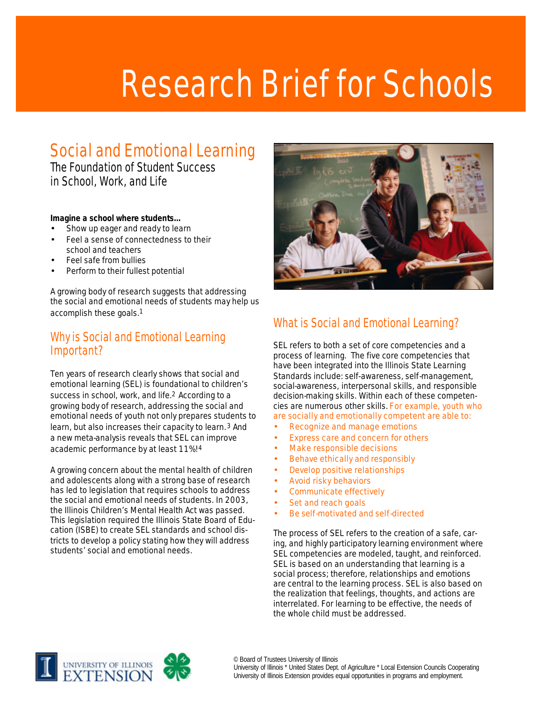# Research Brief for Schools

# Social and Emotional Learning

The Foundation of Student Success in School, Work, and Life

#### **Imagine a school where students…**

- Show up eager and ready to learn
- Feel a sense of connectedness to their school and teachers
- Feel safe from bullies
- Perform to their fullest potential

A growing body of research suggests that addressing the social and emotional needs of students may help us accomplish these goals.1

## Why is Social and Emotional Learning Important?

Ten years of research clearly shows that social and emotional learning (SEL) is foundational to children's success in school, work, and life.<sup>2</sup> According to a growing body of research, addressing the social and emotional needs of youth not only prepares students to learn, but also increases their capacity to learn.<sup>3</sup> And a new meta-analysis reveals that SEL can improve academic performance by at least 11%!4

A growing concern about the mental health of children and adolescents along with a strong base of research has led to legislation that requires schools to address the social and emotional needs of students. In 2003, the Illinois Children's Mental Health Act was passed. This legislation required the Illinois State Board of Education (ISBE) to create SEL standards and school districts to develop a policy stating how they will address students' social and emotional needs.



# What is Social and Emotional Learning?

SEL refers to both a set of core competencies and a process of learning. The five core competencies that have been integrated into the Illinois State Learning Standards include: self-awareness, self-management, social-awareness, interpersonal skills, and responsible decision-making skills. Within each of these competencies are numerous other skills. For example, youth who are socially and emotionally competent are able to:

- Recognize and manage emotions
- Express care and concern for others
- Make responsible decisions
- Behave ethically and responsibly
- Develop positive relationships
- Avoid risky behaviors
- Communicate effectively
- Set and reach goals
- Be self-motivated and self-directed

The process of SEL refers to the creation of a safe, caring, and highly participatory learning environment where SEL competencies are modeled, taught, and reinforced. SEL is based on an understanding that learning is a social process; therefore, relationships and emotions are central to the learning process. SEL is also based on the realization that feelings, thoughts, and actions are interrelated. For learning to be effective, the needs of the whole child must be addressed.

© Board of Trustees University of Illinois University of Illinois \* United States Dept. of Agriculture \* Local Extension Councils Cooperating University of Illinois Extension provides equal opportunities in programs and employment.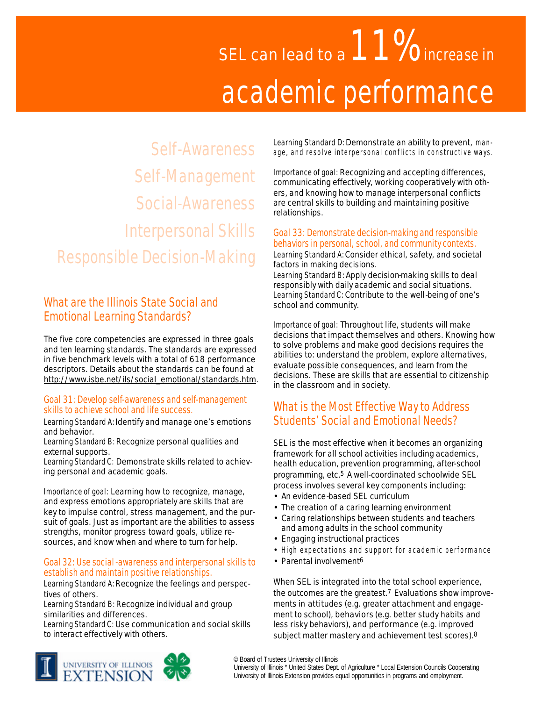# SEL can lead to a  $11\%$  increase in academic performance

Self-Awareness Self-Management Social-Awareness Interpersonal Skills Responsible Decision-Making

# What are the Illinois State Social and Emotional Learning Standards?

The five core competencies are expressed in three goals and ten learning standards. The standards are expressed in five benchmark levels with a total of 618 performance descriptors. Details about the standards can be found at http://www.isbe.net/ils/social\_emotional/standards.htm.

#### Goal 31: Develop self-awareness and self-management skills to achieve school and life success.

Learning Standard A: Identify and manage one's emotions and behavior.

Learning Standard B: Recognize personal qualities and external supports.

Learning Standard C: Demonstrate skills related to achieving personal and academic goals.

Importance of goal: Learning how to recognize, manage, and express emotions appropriately are skills that are key to impulse control, stress management, and the pursuit of goals. Just as important are the abilities to assess strengths, monitor progress toward goals, utilize resources, and know when and where to turn for help.

#### Goal 32: Use social-awareness and interpersonal skills to establish and maintain positive relationships.

Learning Standard A: Recognize the feelings and perspectives of others.

Learning Standard B: Recognize individual and group similarities and differences.

Learning Standard C: Use communication and social skills to interact effectively with others.

Learning Standard D: Demonstrate an ability to prevent, manage, and resolve interpersonal conflicts in constructive ways.

Importance of goal: Recognizing and accepting differences, communicating effectively, working cooperatively with others, and knowing how to manage interpersonal conflicts are central skills to building and maintaining positive relationships.

#### Goal 33: Demonstrate decision-making and responsible behaviors in personal, school, and community contexts.

Learning Standard A: Consider ethical, safety, and societal factors in making decisions.

Learning Standard B: Apply decision-making skills to deal responsibly with daily academic and social situations. Learning Standard C: Contribute to the well-being of one's school and community.

Importance of goal: Throughout life, students will make decisions that impact themselves and others. Knowing how to solve problems and make good decisions requires the abilities to: understand the problem, explore alternatives, evaluate possible consequences, and learn from the decisions. These are skills that are essential to citizenship in the classroom and in society.

# What is the Most Effective Way to Address Students' Social and Emotional Needs?

SEL is the most effective when it becomes an organizing framework for all school activities including academics, health education, prevention programming, after-school programming, etc.5 A well-coordinated schoolwide SEL process involves several key components including:

- An evidence-based SEL curriculum
- The creation of a caring learning environment
- Caring relationships between students and teachers and among adults in the school community
- Engaging instructional practices
- High expectations and support for academic performance
- Parental involvement<sup>6</sup>

When SEL is integrated into the total school experience, the outcomes are the greatest.7 Evaluations show improvements in attitudes (e.g. greater attachment and engagement to school), behaviors (e.g. better study habits and less risky behaviors), and performance (e.g. improved subject matter mastery and achievement test scores).8



© Board of Trustees University of Illinois

University of Illinois \* United States Dept. of Agriculture \* Local Extension Councils Cooperating University of Illinois Extension provides equal opportunities in programs and employment.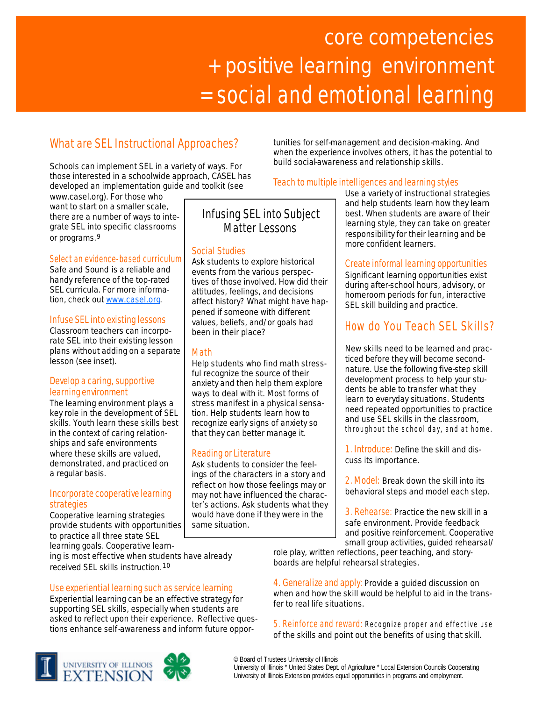# core competencies + positive learning environment = social and emotional learning

# What are SEL Instructional Approaches?

Schools can implement SEL in a variety of ways. For those interested in a schoolwide approach, CASEL has developed an implementation guide and toolkit (see

www.casel.org). For those who want to start on a smaller scale, there are a number of ways to integrate SEL into specific classrooms or programs.9

#### Select an evidence-based curriculum

*Safe and Sound* is a reliable and handy reference of the top-rated SEL curricula. For more information, check out www.casel.org.

#### Infuse SEL into existing lessons

Classroom teachers can incorporate SEL into their existing lesson plans without adding on a separate lesson (see inset).

#### Develop a caring, supportive learning environment

The learning environment plays a key role in the development of SEL skills. Youth learn these skills best in the context of caring relationships and safe environments where these skills are valued, demonstrated, and practiced on a regular basis.

#### Incorporate cooperative learning strategies

Cooperative learning strategies provide students with opportunities to practice all three state SEL learning goals. Cooperative learn-

ing is most effective when students have already received SEL skills instruction.10

#### Use experiential learning such as service learning

Experiential learning can be an effective strategy for supporting SEL skills, especially when students are asked to reflect upon their experience. Reflective questions enhance self-awareness and inform future oppor-

# Infusing SEL into Subject Matter Lessons

#### *Social Studies*

Ask students to explore historical events from the various perspectives of those involved. How did their attitudes, feelings, and decisions affect history? What might have happened if someone with different values, beliefs, and/or goals had been in their place?

#### *Math*

Help students who find math stressful recognize the source of their anxiety and then help them explore ways to deal with it. Most forms of stress manifest in a physical sensation. Help students learn how to recognize early signs of anxiety so that they can better manage it.

#### *Reading or Literature*

Ask students to consider the feelings of the characters in a story and reflect on how those feelings may or may not have influenced the character's actions. Ask students what they would have done if they were in the same situation.

tunities for self-management and decision-making. And when the experience involves others, it has the potential to build social-awareness and relationship skills.

#### Teach to multiple intelligences and learning styles

Use a variety of instructional strategies and help students learn how they learn best. When students are aware of their learning style, they can take on greater responsibility for their learning and be more confident learners.

#### Create informal learning opportunities

Significant learning opportunities exist during after-school hours, advisory, or homeroom periods for fun, interactive SEL skill building and practice.

# How do You Teach SEL Skills?

New skills need to be learned and practiced before they will become secondnature. Use the following five-step skill development process to help your students be able to transfer what they learn to everyday situations. Students need repeated opportunities to practice and use SEL skills in the classroom, throughout the school day, and at home.

1. Introduce: Define the skill and discuss its importance.

2. Model: Break down the skill into its behavioral steps and model each step.

3. Rehearse: Practice the new skill in a safe environment. Provide feedback and positive reinforcement. Cooperative small group activities, guided rehearsal/

role play, written reflections, peer teaching, and storyboards are helpful rehearsal strategies.

4. Generalize and apply: Provide a guided discussion on when and how the skill would be helpful to aid in the transfer to real life situations.

5. Reinforce and reward: Recognize proper and effective use of the skills and point out the benefits of using that skill.



University of Illinois \* United States Dept. of Agriculture \* Local Extension Councils Cooperating University of Illinois Extension provides equal opportunities in programs and employment.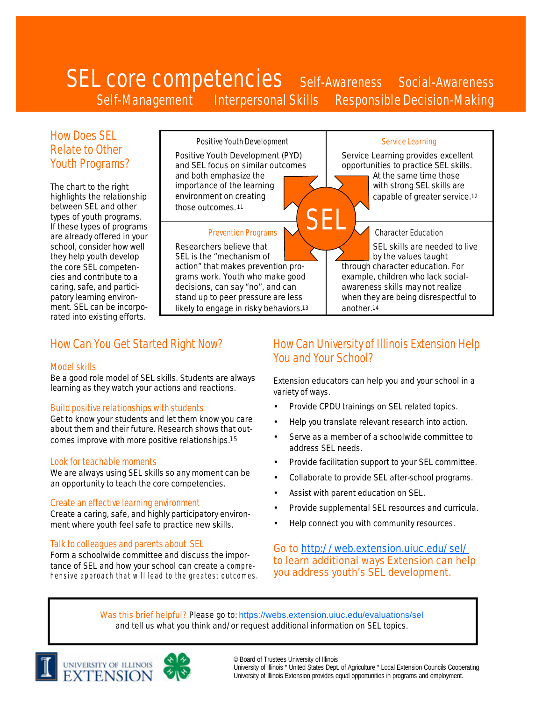# SEL core competencies self-Awareness Social-Awareness Self-Management Interpersonal Skills Responsible Decision-Making

SEL

## How Does SEL Relate to Other Youth Programs?

The chart to the right highlights the relationship between SEL and other types of youth programs. If these types of programs are already offered in your school, consider how well they help youth develop the core SEL competencies and contribute to a caring, safe, and participatory learning environment. SEL can be incorporated into existing efforts.

Positive Youth Development

Positive Youth Development (PYD) and SEL focus on similar outcomes and both emphasize the importance of the learning environment on creating those outcomes.<sup>11</sup>

#### Prevention Programs

Researchers believe that SEL is the "mechanism of action" that makes prevention programs work. Youth who make good decisions, can say "no", and can stand up to peer pressure are less likely to engage in risky behaviors.<sup>13</sup>

#### Service Learning

Service Learning provides excellent opportunities to practice SEL skills. At the same time those with strong SEL skills are capable of greater service.<sup>12</sup>

#### Character Education

SEL skills are needed to live by the values taught through character education. For example, children who lack socialawareness skills may not realize when they are being disrespectful to another.<sup>14</sup>

# How Can You Get Started Right Now?

#### Model skills

Be a good role model of SEL skills. Students are always learning as they watch your actions and reactions.

#### Build positive relationships with students

Get to know your students and let them know you care about them and their future. Research shows that outcomes improve with more positive relationships.15

#### Look for teachable moments

We are always using SEL skills so any moment can be an opportunity to teach the core competencies.

#### Create an effective learning environment

Create a caring, safe, and highly participatory environment where youth feel safe to practice new skills.

#### Talk to colleagues and parents about SEL

Form a schoolwide committee and discuss the importance of SEL and how your school can create a comprehensive approach that will lead to the greatest outcomes.

# How Can University of Illinois Extension Help You and Your School?

Extension educators can help you and your school in a variety of ways.

- Provide CPDU trainings on SEL related topics.
- Help you translate relevant research into action.
- Serve as a member of a schoolwide committee to address SEL needs.
- Provide facilitation support to your SEL committee.
- Collaborate to provide SEL after-school programs.
- Assist with parent education on SEL.
- Provide supplemental SEL resources and curricula.
- Help connect you with community resources.

Go to http://web.extension.uiuc.edu/sel/ to learn additional ways Extension can help you address youth's SEL development.

Was this brief helpful? Please go to: https://webs.extension.uiuc.edu/evaluations/sel and tell us what you think and/or request additional information on SEL topics.







University of Illinois Extension provides equal opportunities in programs and employment.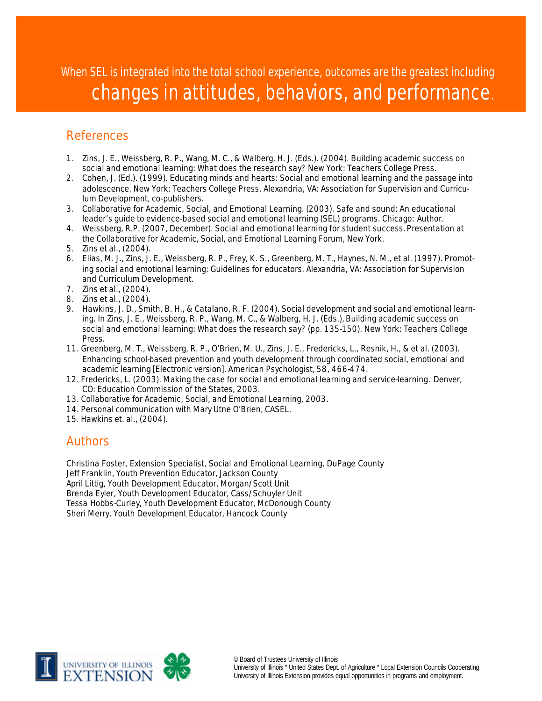When SEL is integrated into the total school experience, outcomes are the greatest including changes in attitudes, behaviors, and performance.

# References

- 1. Zins, J. E., Weissberg, R. P., Wang, M. C., & Walberg, H. J. (Eds.). (2004). *Building academic success on social and emotional learning: What does the research say*? New York: Teachers College Press.
- 2. Cohen, J. (Ed.). (1999). *Educating minds and hearts: Social and emotional learning and the passage into adolescence.* New York: Teachers College Press, Alexandria, VA: Association for Supervision and Curriculum Development, co-publishers.
- 3. Collaborative for Academic, Social, and Emotional Learning. (2003). *Safe and sound: An educational*  leader's guide to evidence-based social and emotional learning (SEL) programs. Chicago: Author.
- 4. Weissberg, R.P. (2007, December). *Social and emotional learning for student success.* Presentation at the Collaborative for Academic, Social, and Emotional Learning Forum, New York.
- 5. Zins et al., (2004).
- 6. Elias, M. J., Zins, J. E., Weissberg, R. P., Frey, K. S., Greenberg, M. T., Haynes, N. M., et al. (1997). *Promoting social and emotional learning: Guidelines for educators*. Alexandria, VA: Association for Supervision and Curriculum Development.
- 7. Zins et al., (2004).
- 8. Zins et al., (2004).
- 9. Hawkins, J. D., Smith, B. H., & Catalano, R. F. (2004). Social development and social and emotional learning. In Zins, J. E., Weissberg, R. P., Wang, M. C., & Walberg, H. J. (Eds.), *Building academic success on social and emotional learning: What does the research say*? (pp. 135-150). New York: Teachers College Press.
- 11. Greenberg, M. T., Weissberg, R. P., O'Brien, M. U., Zins, J. E., Fredericks, L., Resnik, H., & et al. (2003). Enhancing school-based prevention and youth development through coordinated social, emotional and academic learning [Electronic version]. *American Psychologist*, *58*, 466-474.
- 12. Fredericks, L. (2003). *Making the case for social and emotional learning and service-learning*. Denver, CO: Education Commission of the States, 2003.
- 13. Collaborative for Academic, Social, and Emotional Learning, 2003.
- 14. Personal communication with Mary Utne O'Brien, CASEL.
- 15. Hawkins et. al., (2004).

## Authors

Christina Foster, Extension Specialist, Social and Emotional Learning, DuPage County Jeff Franklin, Youth Prevention Educator, Jackson County April Littig, Youth Development Educator, Morgan/Scott Unit Brenda Eyler, Youth Development Educator, Cass/Schuyler Unit Tessa Hobbs-Curley, Youth Development Educator, McDonough County Sheri Merry, Youth Development Educator, Hancock County